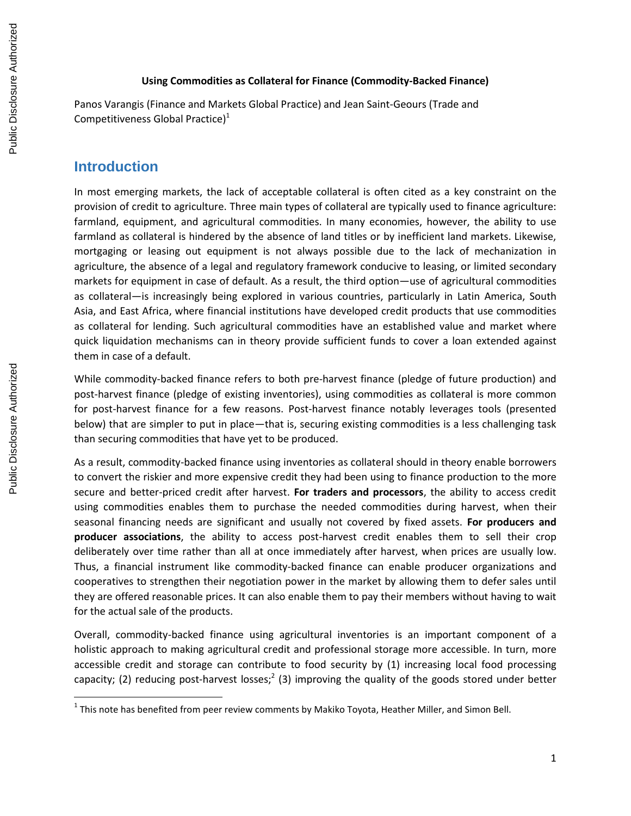#### **Using Commodities as Collateral for Finance (Commodity-Backed Finance)**

Panos Varangis (Finance and Markets Global Practice) and Jean Saint-Geours (Trade and Competitiveness Global Practice)<sup>1</sup>

#### **Introduction**

In most emerging markets, the lack of acceptable collateral is often cited as a key constraint on the provision of credit to agriculture. Three main types of collateral are typically used to finance agriculture: farmland, equipment, and agricultural commodities. In many economies, however, the ability to use farmland as collateral is hindered by the absence of land titles or by inefficient land markets. Likewise, mortgaging or leasing out equipment is not always possible due to the lack of mechanization in agriculture, the absence of a legal and regulatory framework conducive to leasing, or limited secondary markets for equipment in case of default. As a result, the third option—use of agricultural commodities as collateral—is increasingly being explored in various countries, particularly in Latin America, South Asia, and East Africa, where financial institutions have developed credit products that use commodities as collateral for lending. Such agricultural commodities have an established value and market where quick liquidation mechanisms can in theory provide sufficient funds to cover a loan extended against them in case of a default.

While commodity-backed finance refers to both pre-harvest finance (pledge of future production) and post-harvest finance (pledge of existing inventories), using commodities as collateral is more common for post-harvest finance for a few reasons. Post-harvest finance notably leverages tools (presented below) that are simpler to put in place—that is, securing existing commodities is a less challenging task than securing commodities that have yet to be produced.

As a result, commodity-backed finance using inventories as collateral should in theory enable borrowers to convert the riskier and more expensive credit they had been using to finance production to the more secure and better-priced credit after harvest. **For traders and processors**, the ability to access credit using commodities enables them to purchase the needed commodities during harvest, when their seasonal financing needs are significant and usually not covered by fixed assets. **For producers and producer associations**, the ability to access post-harvest credit enables them to sell their crop deliberately over time rather than all at once immediately after harvest, when prices are usually low. Thus, a financial instrument like commodity-backed finance can enable producer organizations and cooperatives to strengthen their negotiation power in the market by allowing them to defer sales until they are offered reasonable prices. It can also enable them to pay their members without having to wait for the actual sale of the products.

Overall, commodity-backed finance using agricultural inventories is an important component of a holistic approach to making agricultural credit and professional storage more accessible. In turn, more accessible credit and storage can contribute to food security by (1) increasing local food processing capacity; (2) reducing post-harvest losses;<sup>2</sup> (3) improving the quality of the goods stored under better

 $^1$  This note has benefited from peer review comments by Makiko Toyota, Heather Miller, and Simon Bell.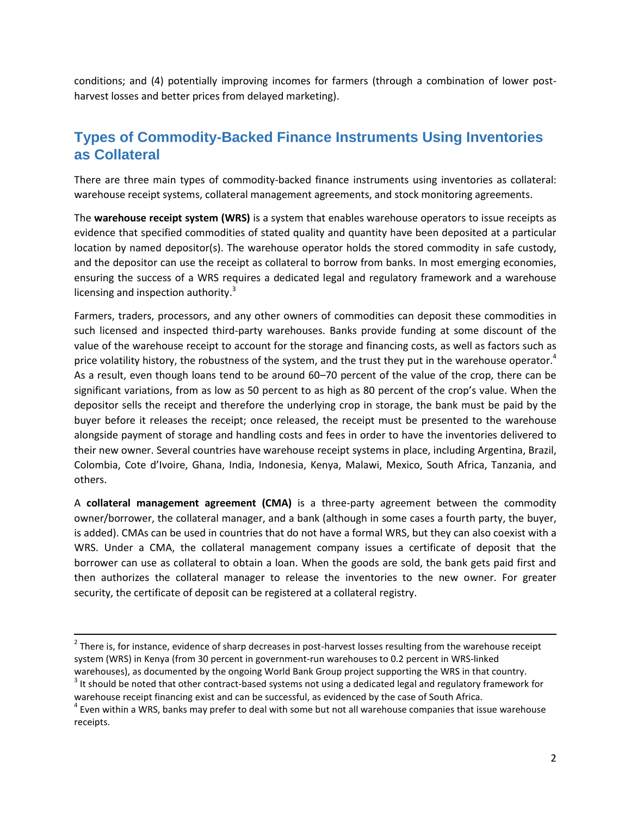conditions; and (4) potentially improving incomes for farmers (through a combination of lower postharvest losses and better prices from delayed marketing).

# **Types of Commodity-Backed Finance Instruments Using Inventories as Collateral**

There are three main types of commodity-backed finance instruments using inventories as collateral: warehouse receipt systems, collateral management agreements, and stock monitoring agreements.

The **warehouse receipt system (WRS)** is a system that enables warehouse operators to issue receipts as evidence that specified commodities of stated quality and quantity have been deposited at a particular location by named depositor(s). The warehouse operator holds the stored commodity in safe custody, and the depositor can use the receipt as collateral to borrow from banks. In most emerging economies, ensuring the success of a WRS requires a dedicated legal and regulatory framework and a warehouse licensing and inspection authority.<sup>3</sup>

Farmers, traders, processors, and any other owners of commodities can deposit these commodities in such licensed and inspected third-party warehouses. Banks provide funding at some discount of the value of the warehouse receipt to account for the storage and financing costs, as well as factors such as price volatility history, the robustness of the system, and the trust they put in the warehouse operator.<sup>4</sup> As a result, even though loans tend to be around 60–70 percent of the value of the crop, there can be significant variations, from as low as 50 percent to as high as 80 percent of the crop's value. When the depositor sells the receipt and therefore the underlying crop in storage, the bank must be paid by the buyer before it releases the receipt; once released, the receipt must be presented to the warehouse alongside payment of storage and handling costs and fees in order to have the inventories delivered to their new owner. Several countries have warehouse receipt systems in place, including Argentina, Brazil, Colombia, Cote d'Ivoire, Ghana, India, Indonesia, Kenya, Malawi, Mexico, South Africa, Tanzania, and others.

A **collateral management agreement (CMA)** is a three-party agreement between the commodity owner/borrower, the collateral manager, and a bank (although in some cases a fourth party, the buyer, is added). CMAs can be used in countries that do not have a formal WRS, but they can also coexist with a WRS. Under a CMA, the collateral management company issues a certificate of deposit that the borrower can use as collateral to obtain a loan. When the goods are sold, the bank gets paid first and then authorizes the collateral manager to release the inventories to the new owner. For greater security, the certificate of deposit can be registered at a collateral registry.

 $2$  There is, for instance, evidence of sharp decreases in post-harvest losses resulting from the warehouse receipt system (WRS) in Kenya (from 30 percent in government-run warehouses to 0.2 percent in WRS-linked warehouses), as documented by the ongoing World Bank Group project supporting the WRS in that country.

 $3$  It should be noted that other contract-based systems not using a dedicated legal and regulatory framework for warehouse receipt financing exist and can be successful, as evidenced by the case of South Africa.

 $^4$  Even within a WRS, banks may prefer to deal with some but not all warehouse companies that issue warehouse receipts.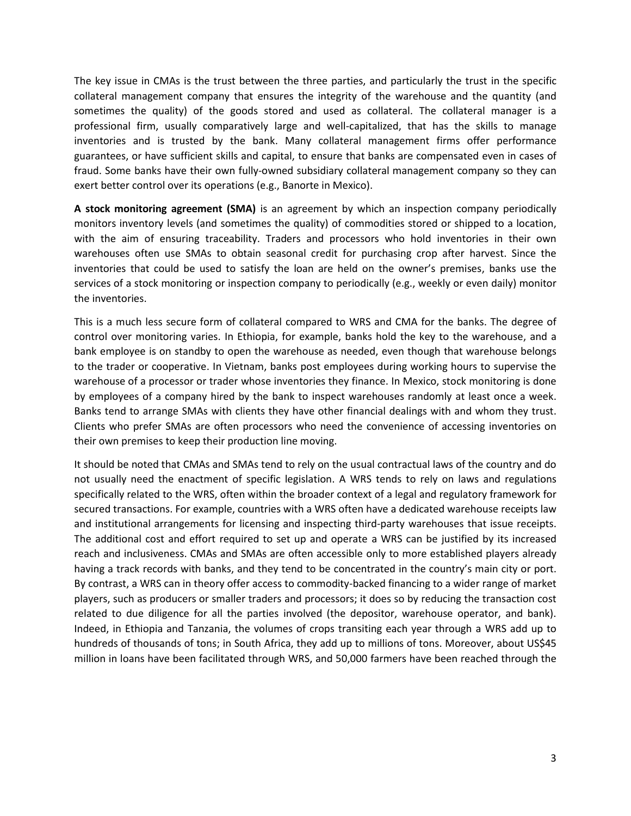The key issue in CMAs is the trust between the three parties, and particularly the trust in the specific collateral management company that ensures the integrity of the warehouse and the quantity (and sometimes the quality) of the goods stored and used as collateral. The collateral manager is a professional firm, usually comparatively large and well-capitalized, that has the skills to manage inventories and is trusted by the bank. Many collateral management firms offer performance guarantees, or have sufficient skills and capital, to ensure that banks are compensated even in cases of fraud. Some banks have their own fully-owned subsidiary collateral management company so they can exert better control over its operations (e.g., Banorte in Mexico).

**A stock monitoring agreement (SMA)** is an agreement by which an inspection company periodically monitors inventory levels (and sometimes the quality) of commodities stored or shipped to a location, with the aim of ensuring traceability. Traders and processors who hold inventories in their own warehouses often use SMAs to obtain seasonal credit for purchasing crop after harvest. Since the inventories that could be used to satisfy the loan are held on the owner's premises, banks use the services of a stock monitoring or inspection company to periodically (e.g., weekly or even daily) monitor the inventories.

This is a much less secure form of collateral compared to WRS and CMA for the banks. The degree of control over monitoring varies. In Ethiopia, for example, banks hold the key to the warehouse, and a bank employee is on standby to open the warehouse as needed, even though that warehouse belongs to the trader or cooperative. In Vietnam, banks post employees during working hours to supervise the warehouse of a processor or trader whose inventories they finance. In Mexico, stock monitoring is done by employees of a company hired by the bank to inspect warehouses randomly at least once a week. Banks tend to arrange SMAs with clients they have other financial dealings with and whom they trust. Clients who prefer SMAs are often processors who need the convenience of accessing inventories on their own premises to keep their production line moving.

It should be noted that CMAs and SMAs tend to rely on the usual contractual laws of the country and do not usually need the enactment of specific legislation. A WRS tends to rely on laws and regulations specifically related to the WRS, often within the broader context of a legal and regulatory framework for secured transactions. For example, countries with a WRS often have a dedicated warehouse receipts law and institutional arrangements for licensing and inspecting third-party warehouses that issue receipts. The additional cost and effort required to set up and operate a WRS can be justified by its increased reach and inclusiveness. CMAs and SMAs are often accessible only to more established players already having a track records with banks, and they tend to be concentrated in the country's main city or port. By contrast, a WRS can in theory offer access to commodity-backed financing to a wider range of market players, such as producers or smaller traders and processors; it does so by reducing the transaction cost related to due diligence for all the parties involved (the depositor, warehouse operator, and bank). Indeed, in Ethiopia and Tanzania, the volumes of crops transiting each year through a WRS add up to hundreds of thousands of tons; in South Africa, they add up to millions of tons. Moreover, about US\$45 million in loans have been facilitated through WRS, and 50,000 farmers have been reached through the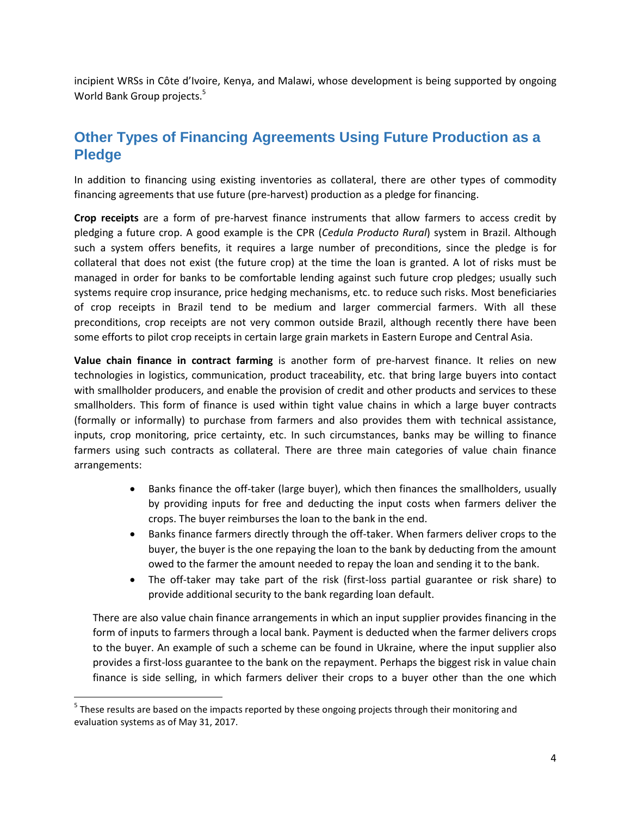incipient WRSs in Côte d'Ivoire, Kenya, and Malawi, whose development is being supported by ongoing World Bank Group projects.<sup>5</sup>

# **Other Types of Financing Agreements Using Future Production as a Pledge**

In addition to financing using existing inventories as collateral, there are other types of commodity financing agreements that use future (pre-harvest) production as a pledge for financing.

**Crop receipts** are a form of pre-harvest finance instruments that allow farmers to access credit by pledging a future crop. A good example is the CPR (*Cedula Producto Rural*) system in Brazil. Although such a system offers benefits, it requires a large number of preconditions, since the pledge is for collateral that does not exist (the future crop) at the time the loan is granted. A lot of risks must be managed in order for banks to be comfortable lending against such future crop pledges; usually such systems require crop insurance, price hedging mechanisms, etc. to reduce such risks. Most beneficiaries of crop receipts in Brazil tend to be medium and larger commercial farmers. With all these preconditions, crop receipts are not very common outside Brazil, although recently there have been some efforts to pilot crop receipts in certain large grain markets in Eastern Europe and Central Asia.

**Value chain finance in contract farming** is another form of pre-harvest finance. It relies on new technologies in logistics, communication, product traceability, etc. that bring large buyers into contact with smallholder producers, and enable the provision of credit and other products and services to these smallholders. This form of finance is used within tight value chains in which a large buyer contracts (formally or informally) to purchase from farmers and also provides them with technical assistance, inputs, crop monitoring, price certainty, etc. In such circumstances, banks may be willing to finance farmers using such contracts as collateral. There are three main categories of value chain finance arrangements:

- Banks finance the off-taker (large buyer), which then finances the smallholders, usually by providing inputs for free and deducting the input costs when farmers deliver the crops. The buyer reimburses the loan to the bank in the end.
- Banks finance farmers directly through the off-taker. When farmers deliver crops to the buyer, the buyer is the one repaying the loan to the bank by deducting from the amount owed to the farmer the amount needed to repay the loan and sending it to the bank.
- The off-taker may take part of the risk (first-loss partial guarantee or risk share) to provide additional security to the bank regarding loan default.

There are also value chain finance arrangements in which an input supplier provides financing in the form of inputs to farmers through a local bank. Payment is deducted when the farmer delivers crops to the buyer. An example of such a scheme can be found in Ukraine, where the input supplier also provides a first-loss guarantee to the bank on the repayment. Perhaps the biggest risk in value chain finance is side selling, in which farmers deliver their crops to a buyer other than the one which

<sup>&</sup>lt;sup>5</sup> These results are based on the impacts reported by these ongoing projects through their monitoring and evaluation systems as of May 31, 2017.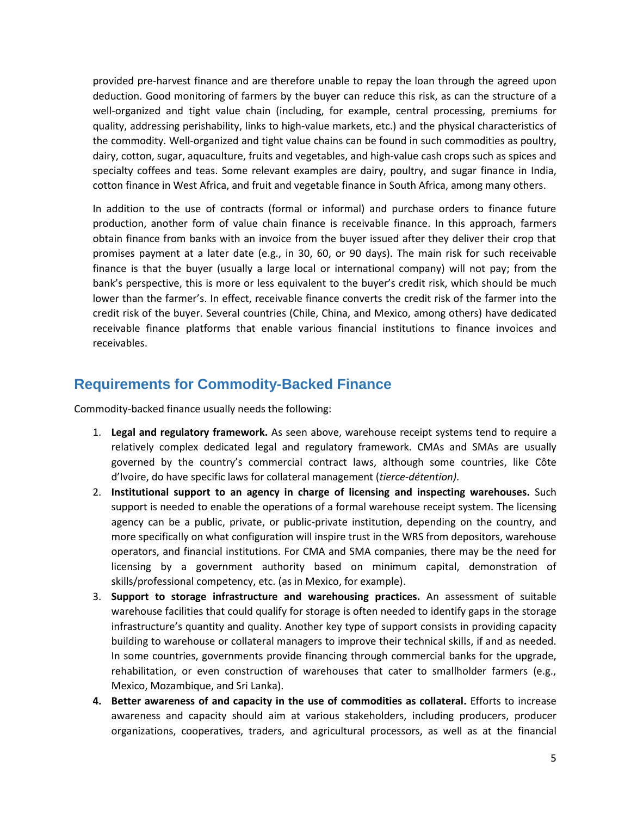provided pre-harvest finance and are therefore unable to repay the loan through the agreed upon deduction. Good monitoring of farmers by the buyer can reduce this risk, as can the structure of a well-organized and tight value chain (including, for example, central processing, premiums for quality, addressing perishability, links to high-value markets, etc.) and the physical characteristics of the commodity. Well-organized and tight value chains can be found in such commodities as poultry, dairy, cotton, sugar, aquaculture, fruits and vegetables, and high-value cash crops such as spices and specialty coffees and teas. Some relevant examples are dairy, poultry, and sugar finance in India, cotton finance in West Africa, and fruit and vegetable finance in South Africa, among many others.

In addition to the use of contracts (formal or informal) and purchase orders to finance future production, another form of value chain finance is receivable finance. In this approach, farmers obtain finance from banks with an invoice from the buyer issued after they deliver their crop that promises payment at a later date (e.g., in 30, 60, or 90 days). The main risk for such receivable finance is that the buyer (usually a large local or international company) will not pay; from the bank's perspective, this is more or less equivalent to the buyer's credit risk, which should be much lower than the farmer's. In effect, receivable finance converts the credit risk of the farmer into the credit risk of the buyer. Several countries (Chile, China, and Mexico, among others) have dedicated receivable finance platforms that enable various financial institutions to finance invoices and receivables.

### **Requirements for Commodity-Backed Finance**

Commodity-backed finance usually needs the following:

- 1. **Legal and regulatory framework.** As seen above, warehouse receipt systems tend to require a relatively complex dedicated legal and regulatory framework. CMAs and SMAs are usually governed by the country's commercial contract laws, although some countries, like Côte d'Ivoire, do have specific laws for collateral management (*tierce-détention)*.
- 2. **Institutional support to an agency in charge of licensing and inspecting warehouses.** Such support is needed to enable the operations of a formal warehouse receipt system. The licensing agency can be a public, private, or public-private institution, depending on the country, and more specifically on what configuration will inspire trust in the WRS from depositors, warehouse operators, and financial institutions. For CMA and SMA companies, there may be the need for licensing by a government authority based on minimum capital, demonstration of skills/professional competency, etc. (as in Mexico, for example).
- 3. **Support to storage infrastructure and warehousing practices.** An assessment of suitable warehouse facilities that could qualify for storage is often needed to identify gaps in the storage infrastructure's quantity and quality. Another key type of support consists in providing capacity building to warehouse or collateral managers to improve their technical skills, if and as needed. In some countries, governments provide financing through commercial banks for the upgrade, rehabilitation, or even construction of warehouses that cater to smallholder farmers (e.g., Mexico, Mozambique, and Sri Lanka).
- **4. Better awareness of and capacity in the use of commodities as collateral.** Efforts to increase awareness and capacity should aim at various stakeholders, including producers, producer organizations, cooperatives, traders, and agricultural processors, as well as at the financial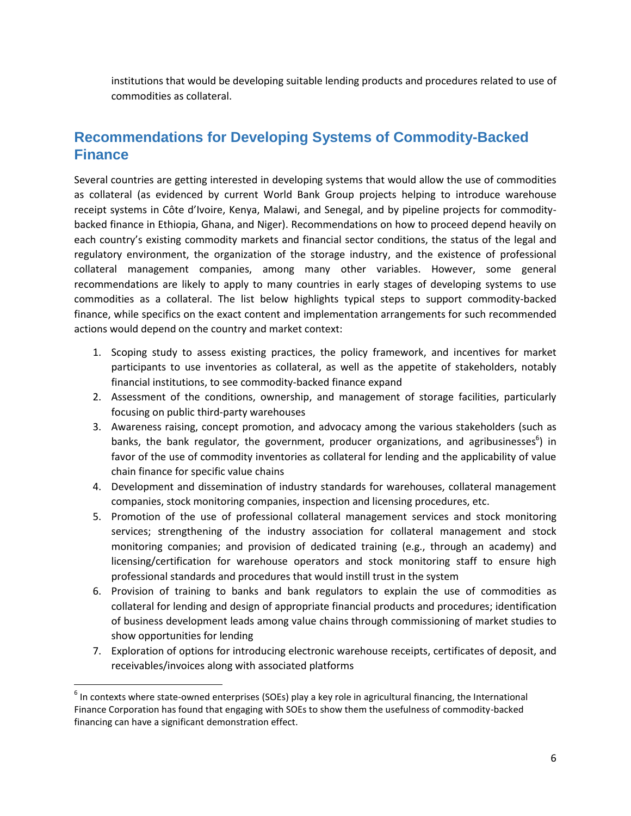institutions that would be developing suitable lending products and procedures related to use of commodities as collateral.

## **Recommendations for Developing Systems of Commodity-Backed Finance**

Several countries are getting interested in developing systems that would allow the use of commodities as collateral (as evidenced by current World Bank Group projects helping to introduce warehouse receipt systems in Côte d'Ivoire, Kenya, Malawi, and Senegal, and by pipeline projects for commoditybacked finance in Ethiopia, Ghana, and Niger). Recommendations on how to proceed depend heavily on each country's existing commodity markets and financial sector conditions, the status of the legal and regulatory environment, the organization of the storage industry, and the existence of professional collateral management companies, among many other variables. However, some general recommendations are likely to apply to many countries in early stages of developing systems to use commodities as a collateral. The list below highlights typical steps to support commodity-backed finance, while specifics on the exact content and implementation arrangements for such recommended actions would depend on the country and market context:

- 1. Scoping study to assess existing practices, the policy framework, and incentives for market participants to use inventories as collateral, as well as the appetite of stakeholders, notably financial institutions, to see commodity-backed finance expand
- 2. Assessment of the conditions, ownership, and management of storage facilities, particularly focusing on public third-party warehouses
- 3. Awareness raising, concept promotion, and advocacy among the various stakeholders (such as banks, the bank regulator, the government, producer organizations, and agribusinesses<sup>6</sup>) in favor of the use of commodity inventories as collateral for lending and the applicability of value chain finance for specific value chains
- 4. Development and dissemination of industry standards for warehouses, collateral management companies, stock monitoring companies, inspection and licensing procedures, etc.
- 5. Promotion of the use of professional collateral management services and stock monitoring services; strengthening of the industry association for collateral management and stock monitoring companies; and provision of dedicated training (e.g., through an academy) and licensing/certification for warehouse operators and stock monitoring staff to ensure high professional standards and procedures that would instill trust in the system
- 6. Provision of training to banks and bank regulators to explain the use of commodities as collateral for lending and design of appropriate financial products and procedures; identification of business development leads among value chains through commissioning of market studies to show opportunities for lending
- 7. Exploration of options for introducing electronic warehouse receipts, certificates of deposit, and receivables/invoices along with associated platforms

 $^6$  In contexts where state-owned enterprises (SOEs) play a key role in agricultural financing, the International Finance Corporation has found that engaging with SOEs to show them the usefulness of commodity-backed financing can have a significant demonstration effect.